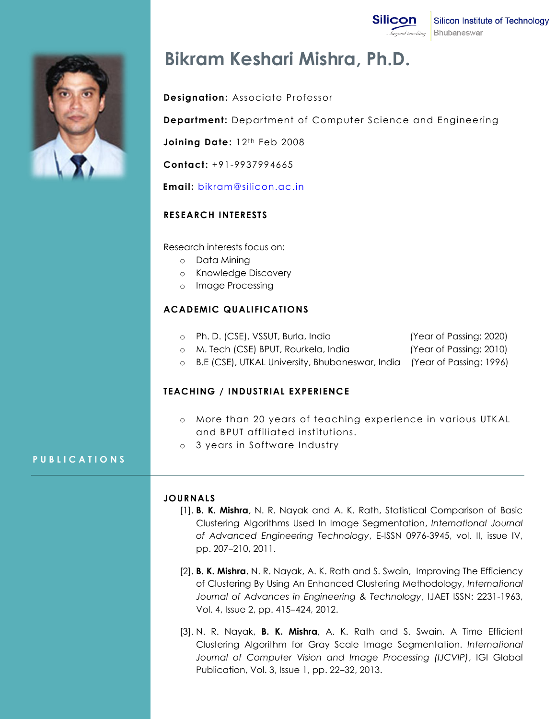**Silicon** Silicon Institute of Technology beyond teaching Bhubaneswar



# **Bikram Keshari Mishra, Ph.D.**

# **Designation:** Associate Professor

**Department:** Department of Computer Science and Engineering

Joining Date: 12<sup>th</sup> Feb 2008

**Contact:** +91-9937994665

 **Email:** [bikram@silicon.ac.in](mailto:bikram@silicon.ac.in)

# **RESEARCH INTERESTS**

Research interests focus on:

- o Data Mining
- o Knowledge Discovery
- o Image Processing

### **ACADEMIC QUALIFICATIONS**

- o Ph. D. (CSE), VSSUT, Burla, India (Year of Passing: 2020)
- o M. Tech (CSE) BPUT, Rourkela, India (Year of Passing: 2010)

o B.E (CSE), UTKAL University, Bhubaneswar, India (Year of Passing: 1996)

# **TEACHING / INDUSTRIAL EXPERIENCE**

- o More than 20 years of teaching experience in various UTKAL and BPUT affiliated institutions.
- o 3 years in Software Industry

# **P U B L I C A T I O N S**

#### **JOURNALS**

- [1]. **B. K. Mishra**, N. R. Nayak and A. K. Rath, Statistical Comparison of Basic Clustering Algorithms Used In Image Segmentation, *International Journal of Advanced Engineering Technology*, E-ISSN 0976-3945, vol. II, issue IV, pp. 207‒210, 2011.
- [2]. **B. K. Mishra**, N. R. Nayak, A. K. Rath and S. Swain, Improving The Efficiency of Clustering By Using An Enhanced Clustering Methodology, *International Journal of Advances in Engineering & Technology*, IJAET ISSN: 2231-1963, Vol. 4, Issue 2, pp. 415-424, 2012.
- [3]. N. R. Nayak, **B. K. Mishra**, A. K. Rath and S. Swain. A Time Efficient Clustering Algorithm for Gray Scale Image Segmentation. *International Journal of Computer Vision and Image Processing (IJCVIP)*, IGI Global Publication, Vol. 3, Issue 1, pp. 22–32, 2013.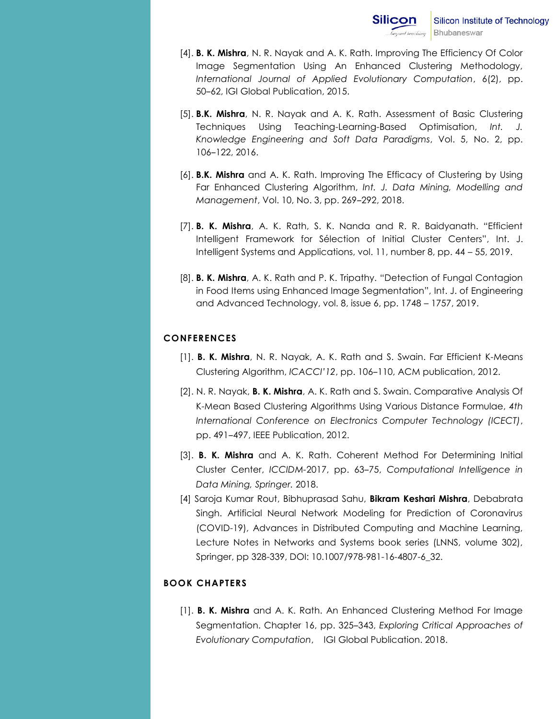- [4]. **B. K. Mishra**, N. R. Nayak and A. K. Rath. Improving The Efficiency Of Color Image Segmentation Using An Enhanced Clustering Methodology, *International Journal of Applied Evolutionary Computation*, 6(2), pp. 50–62, IGI Global Publication, 2015.
- [5]. **B.K. Mishra**, N. R. Nayak and A. K. Rath. Assessment of Basic Clustering Techniques Using Teaching-Learning-Based Optimisation, *Int. J. Knowledge Engineering and Soft Data Paradigms*, Vol. 5, No. 2, pp. 106‒122, 2016.
- [6]. **B.K. Mishra** and A. K. Rath. Improving The Efficacy of Clustering by Using Far Enhanced Clustering Algorithm, *Int. J. Data Mining, Modelling and Management, Vol. 10, No. 3, pp. 269-292, 2018.*
- [7]. **B. K. Mishra**, A. K. Rath, S. K. Nanda and R. R. Baidyanath. "Efficient Intelligent Framework for Sélection of Initial Cluster Centers", Int. J. Intelligent Systems and Applications, vol. 11, number 8, pp. 44 – 55, 2019.
- [8]. **B. K. Mishra**, A. K. Rath and P. K. Tripathy. "Detection of Fungal Contagion in Food Items using Enhanced Image Segmentation", Int. J. of Engineering and Advanced Technology, vol. 8, issue 6, pp. 1748 – 1757, 2019.

# **CONFERENCES**

- [1]. **B. K. Mishra**, N. R. Nayak, A. K. Rath and S. Swain. Far Efficient K-Means Clustering Algorithm, *ICACCI'12*, pp. 106-110, ACM publication, 2012.
- [2]. N. R. Nayak, **B. K. Mishra**, A. K. Rath and S. Swain. Comparative Analysis Of K-Mean Based Clustering Algorithms Using Various Distance Formulae, *4th International Conference on Electronics Computer Technology (ICECT)*, pp. 491‒497, IEEE Publication, 2012.
- [3]. **B. K. Mishra** and A. K. Rath. Coherent Method For Determining Initial Cluster Center, *ICCIDM-*2017, pp. 63‒75, *Computational Intelligence in Data Mining, Springer.* 2018.
- [4] Saroja Kumar Rout, Bibhuprasad Sahu, **Bikram Keshari Mishra**, Debabrata Singh. Artificial Neural Network Modeling for Prediction of Coronavirus (COVID-19), Advances in Distributed Computing and Machine Learning, Lecture Notes in Networks and Systems book series (LNNS, volume 302), Springer, pp 328-339, DOI: 10.1007/978-981-16-4807-6\_32.

# **BOOK CHAPTERS**

[1]. **B. K. Mishra** and A. K. Rath. An Enhanced Clustering Method For Image Segmentation. Chapter 16, pp. 325–343, *Exploring Critical Approaches of Evolutionary Computation*, IGI Global Publication. 2018.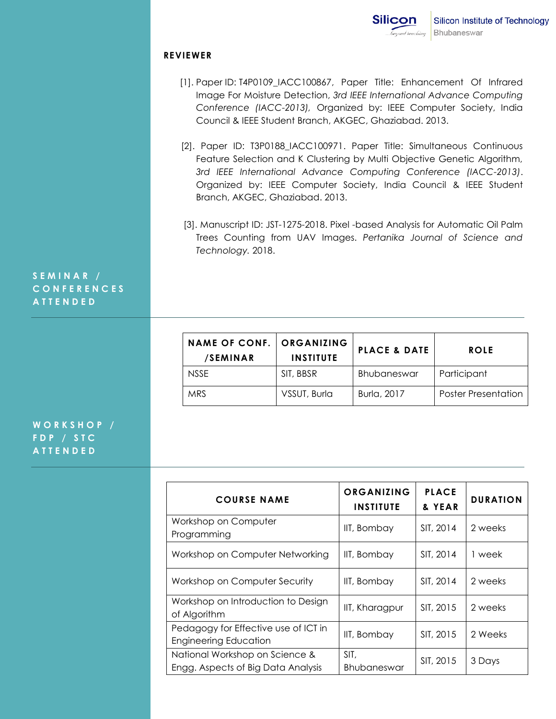#### **REVIEWER**

- [1]. Paper ID: T4P0109\_IACC100867, Paper Title: Enhancement Of Infrared Image For Moisture Detection, *3rd IEEE International Advance Computing Conference (IACC-2013),* Organized by: IEEE Computer Society, India Council & IEEE Student Branch, AKGEC, Ghaziabad. 2013.
- [2]. Paper ID: T3P0188\_IACC100971. Paper Title: Simultaneous Continuous Feature Selection and K Clustering by Multi Objective Genetic Algorithm, *3rd IEEE International Advance Computing Conference (IACC-2013)*. Organized by: IEEE Computer Society, India Council & IEEE Student Branch, AKGEC, Ghaziabad. 2013.
- [3]. Manuscript ID: JST-1275-2018. Pixel -based Analysis for Automatic Oil Palm Trees Counting from UAV Images. *Pertanika Journal of Science and Technology.* 2018.

# **S E M I N A R / C O N F E R E N C E S A T T E N D E D**

| <b>NAME OF CONF.</b><br>/SEMINAR | ORGANIZING<br><b>INSTITUTE</b> | <b>PLACE &amp; DATE</b> | <b>ROLE</b>                |
|----------------------------------|--------------------------------|-------------------------|----------------------------|
| <b>NSSE</b>                      | SIT, BBSR                      | Bhubaneswar             | Participant                |
| <b>MRS</b>                       | VSSUT, Burla                   | Burla, 2017             | <b>Poster Presentation</b> |

# **W O R K S H O P / F D P / S T C A T T E N D E D**

| <b>COURSE NAME</b>                                                   | ORGANIZING<br><b>INSTITUTE</b> | <b>PLACE</b><br>& YEAR | <b>DURATION</b> |
|----------------------------------------------------------------------|--------------------------------|------------------------|-----------------|
| Workshop on Computer<br>Programming                                  | IIT, Bombay                    | SIT, 2014              | 2 weeks         |
| Workshop on Computer Networking                                      | IIT, Bombay                    | SIT, 2014              | 1 week          |
| Workshop on Computer Security                                        | IIT, Bombay                    | SIT, 2014              | 2 weeks         |
| Workshop on Introduction to Design<br>of Algorithm                   | IIT, Kharagpur                 | SIT, 2015              | 2 weeks         |
| Pedagogy for Effective use of ICT in<br><b>Engineering Education</b> | IIT, Bombay                    | SIT, 2015              | 2 Weeks         |
| National Workshop on Science &<br>Engg. Aspects of Big Data Analysis | SIT,<br>Bhubaneswar            | SIT, 2015              | 3 Days          |